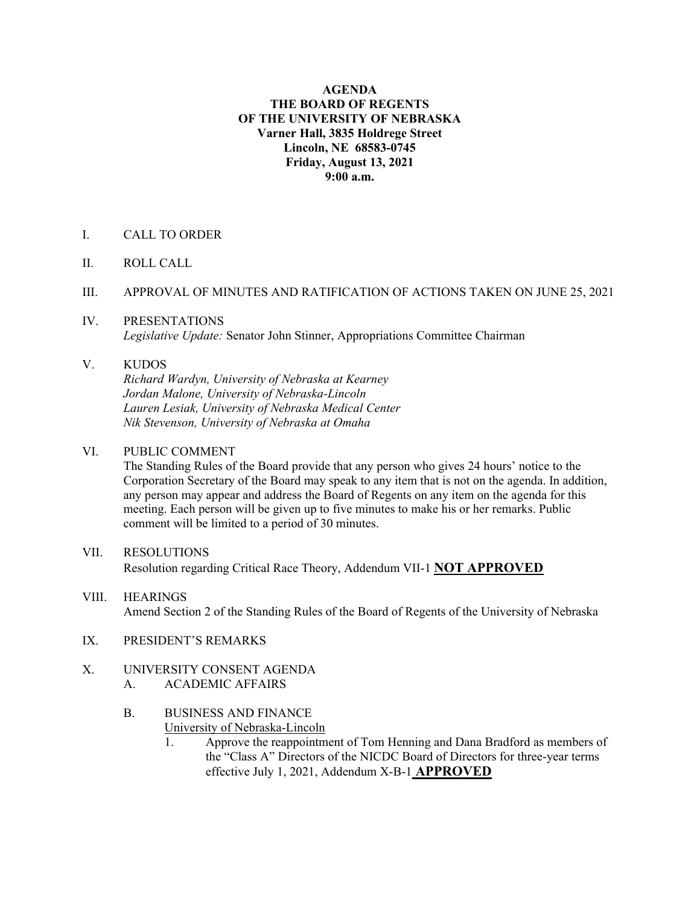#### **AGENDA THE BOARD OF REGENTS OF THE UNIVERSITY OF NEBRASKA Varner Hall, 3835 Holdrege Street Lincoln, NE 68583-0745 Friday, August 13, 2021 9:00 a.m.**

- I. CALL TO ORDER
- II. ROLL CALL
- III. APPROVAL OF MINUTES AND RATIFICATION OF ACTIONS TAKEN ON JUNE 25, 2021
- IV. PRESENTATIONS *Legislative Update:* Senator John Stinner, Appropriations Committee Chairman

### V. KUDOS

*Richard Wardyn, University of Nebraska at Kearney Jordan Malone, University of Nebraska-Lincoln Lauren Lesiak, University of Nebraska Medical Center Nik Stevenson, University of Nebraska at Omaha*

#### VI. PUBLIC COMMENT

The Standing Rules of the Board provide that any person who gives 24 hours' notice to the Corporation Secretary of the Board may speak to any item that is not on the agenda. In addition, any person may appear and address the Board of Regents on any item on the agenda for this meeting. Each person will be given up to five minutes to make his or her remarks. Public comment will be limited to a period of 30 minutes.

- VII. RESOLUTIONS Resolution regarding Critical Race Theory, Addendum VII-1 **NOT APPROVED**
- VIII. HEARINGS Amend Section 2 of the Standing Rules of the Board of Regents of the University of Nebraska
- IX. PRESIDENT'S REMARKS
- X. UNIVERSITY CONSENT AGENDA A. ACADEMIC AFFAIRS
	- B. BUSINESS AND FINANCE University of Nebraska-Lincoln
		- 1. Approve the reappointment of Tom Henning and Dana Bradford as members of the "Class A" Directors of the NICDC Board of Directors for three-year terms effective July 1, 2021, Addendum X-B-1 **APPROVED**